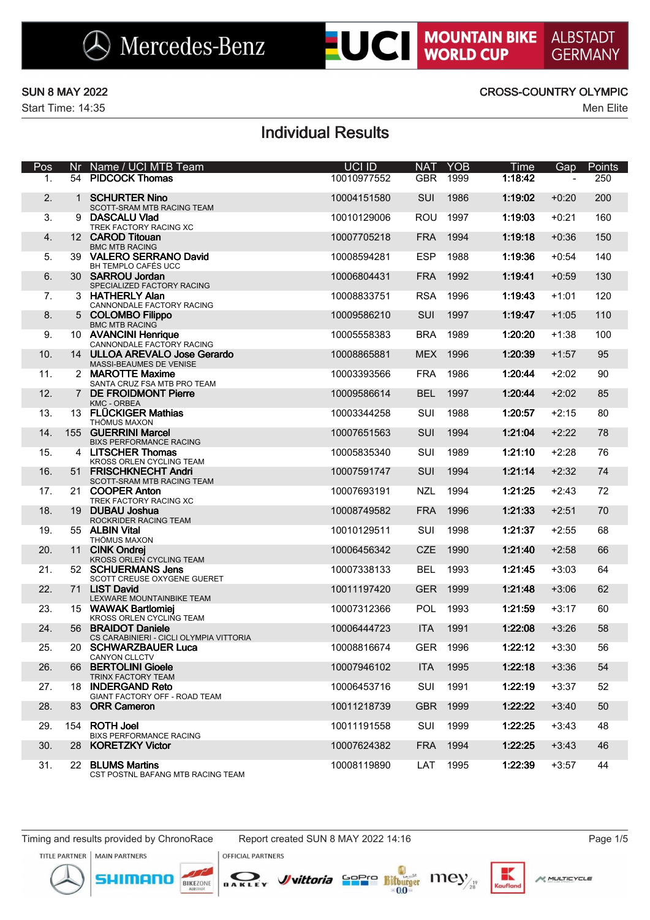**ALBSTADT GERMANY** 

Start Time: 14:35 Men Elite

### SUN 8 MAY 2022 CROSS-COUNTRY OLYMPIC

# Individual Results

| Pos | Nr | Name / UCI MTB Team                                           | UCI ID      | <b>NAT</b> | <b>YOB</b> | Time    | Gap     | Points |
|-----|----|---------------------------------------------------------------|-------------|------------|------------|---------|---------|--------|
| 1.  |    | 54 PIDCOCK Thomas                                             | 10010977552 | <b>GBR</b> | 1999       | 1:18:42 |         | 250    |
| 2.  |    | 1 SCHURTER Nino<br>SCOTT-SRAM MTB RACING TEAM                 | 10004151580 | SUI        | 1986       | 1:19:02 | $+0:20$ | 200    |
| 3.  | 9  | <b>DASCALU VIad</b><br>TREK FACTORY RACING XC                 | 10010129006 | <b>ROU</b> | 1997       | 1:19:03 | $+0:21$ | 160    |
| 4.  |    | 12 CAROD Titouan<br><b>BMC MTB RACING</b>                     | 10007705218 | <b>FRA</b> | 1994       | 1:19:18 | $+0:36$ | 150    |
| 5.  |    | 39 VALERO SERRANO David<br>BH TEMPLO CAFÉS UCC                | 10008594281 | <b>ESP</b> | 1988       | 1:19:36 | $+0:54$ | 140    |
| 6.  |    | 30 SARROU Jordan<br>SPECIALIZED FACTORY RACING                | 10006804431 | <b>FRA</b> | 1992       | 1:19:41 | $+0:59$ | 130    |
| 7.  |    | 3 HATHERLY Alan<br>CANNONDALE FACTORY RACING                  | 10008833751 | <b>RSA</b> | 1996       | 1:19:43 | $+1:01$ | 120    |
| 8.  |    | 5 COLOMBO Filippo<br><b>BMC MTB RACING</b>                    | 10009586210 | SUI        | 1997       | 1:19:47 | $+1:05$ | 110    |
| 9.  |    | 10 AVANCINI Henrique<br>CANNONDALE FACTORY RACING             | 10005558383 | <b>BRA</b> | 1989       | 1:20:20 | $+1:38$ | 100    |
| 10. |    | 14 ULLOA AREVALO Jose Gerardo<br>MASSI-BEAUMES DE VENISE      | 10008865881 | <b>MEX</b> | 1996       | 1:20:39 | $+1:57$ | 95     |
| 11. |    | 2 MAROTTE Maxime<br>SANTA CRUZ FSA MTB PRO TEAM               | 10003393566 | <b>FRA</b> | 1986       | 1:20:44 | $+2:02$ | 90     |
| 12. |    | 7 DE FROIDMONT Pierre<br><b>KMC - ORBEA</b>                   | 10009586614 | <b>BEL</b> | 1997       | 1:20:44 | $+2:02$ | 85     |
| 13. |    | 13 FLÜCKIGER Mathias<br>THÖMUS MAXON                          | 10003344258 | SUI        | 1988       | 1:20:57 | $+2:15$ | 80     |
| 14. |    | 155 GUERRINI Marcel<br><b>BIXS PERFORMANCE RACING</b>         | 10007651563 | SUI        | 1994       | 1:21:04 | $+2:22$ | 78     |
| 15. |    | 4 LITSCHER Thomas<br>KROSS ORLEN CYCLING TEAM                 | 10005835340 | SUI        | 1989       | 1:21:10 | $+2:28$ | 76     |
| 16. |    | 51 FRISCHKNECHT Andri<br>SCOTT-SRAM MTB RACING TEAM           | 10007591747 | SUI        | 1994       | 1:21:14 | $+2:32$ | 74     |
| 17. |    | 21 COOPER Anton<br>TREK FACTORY RACING XC                     | 10007693191 | <b>NZL</b> | 1994       | 1:21:25 | $+2:43$ | 72     |
| 18. |    | 19 DUBAU Joshua<br>ROCKRIDER RACING TEAM                      | 10008749582 | <b>FRA</b> | 1996       | 1:21:33 | $+2:51$ | 70     |
| 19. |    | 55 ALBIN Vital<br>THÖMUS MAXON                                | 10010129511 | SUI        | 1998       | 1:21:37 | $+2:55$ | 68     |
| 20. |    | 11 CINK Ondrej<br>KROSS ORLEN CYCLING TEAM                    | 10006456342 | <b>CZE</b> | 1990       | 1:21:40 | $+2:58$ | 66     |
| 21. |    | 52 SCHUERMANS Jens<br>SCOTT CREUSE OXYGENE GUERET             | 10007338133 | <b>BEL</b> | 1993       | 1:21:45 | $+3:03$ | 64     |
| 22. |    | 71 LIST David<br>LEXWARE MOUNTAINBIKE TEAM                    | 10011197420 | <b>GER</b> | 1999       | 1:21:48 | $+3:06$ | 62     |
| 23. |    | 15 WAWAK Bartlomiej<br>KROSS ORLEN CYCLING TEAM               | 10007312366 | POL        | 1993       | 1:21:59 | $+3:17$ | 60     |
| 24. |    | 56 BRAIDOT Daniele<br>CS CARABINIERI - CICLI OLYMPIA VITTORIA | 10006444723 | <b>ITA</b> | 1991       | 1:22:08 | $+3:26$ | 58     |
| 25. |    | 20 SCHWARZBAUER Luca<br>CANYON CLLCTV                         | 10008816674 | <b>GER</b> | 1996       | 1:22:12 | $+3:30$ | 56     |
| 26. |    | 66 BERTOLINI Gioele<br>TRINX FACTORY TEAM                     | 10007946102 | <b>ITA</b> | 1995       | 1:22:18 | $+3:36$ | 54     |
| 27. | 18 | <b>INDERGAND Reto</b><br>GIANT FACTORY OFF - ROAD TEAM        | 10006453716 | SUI        | 1991       | 1:22:19 | $+3:37$ | 52     |
| 28. |    | 83 ORR Cameron                                                | 10011218739 | <b>GBR</b> | 1999       | 1:22:22 | $+3:40$ | 50     |
| 29. |    | 154 ROTH Joel<br><b>BIXS PERFORMANCE RACING</b>               | 10011191558 | SUI        | 1999       | 1:22:25 | $+3:43$ | 48     |
| 30. |    | 28 KORETZKY Victor                                            | 10007624382 | <b>FRA</b> | 1994       | 1:22:25 | +3:43   | 46     |
| 31. |    | 22 BLUMS Martins<br>CST POSTNL BAFANG MTB RACING TEAM         | 10008119890 | LAT        | 1995       | 1:22:39 | +3:57   | 44     |

Timing and results provided by ChronoRace Report created SUN 8 MAY 2022 14:16 Page 1/5

**OFFICIAL PARTNERS** 

TITLE PARTNER | MAIN PARTNERS





*J*uittoria Sepre Bitturger Iney



к

Kaufla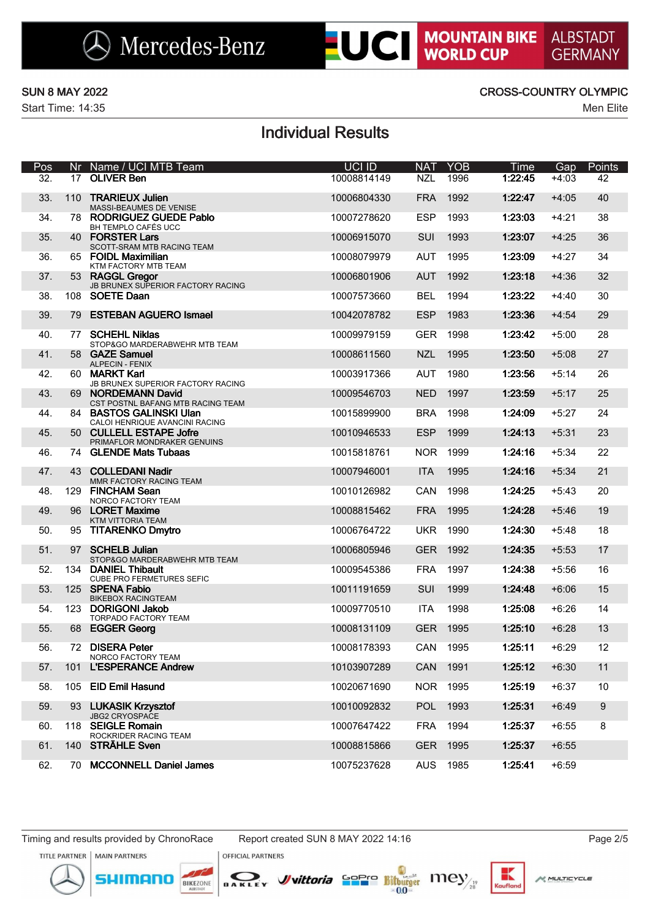Start Time: 14:35 Men Elite

### SUN 8 MAY 2022 CROSS-COUNTRY OLYMPIC

# Individual Results

| Pos               |     | Nr Name / UCI MTB Team                                     | UCI ID      | <b>NAT</b> | <b>YOB</b> | Time    | Gap     | Points           |
|-------------------|-----|------------------------------------------------------------|-------------|------------|------------|---------|---------|------------------|
| $\overline{32}$ . |     | 17 OLIVER Ben                                              | 10008814149 | <b>NZL</b> | 1996       | 1:22:45 | $+4:03$ | 42               |
| 33.               | 110 | <b>TRARIEUX Julien</b><br>MASSI-BEAUMES DE VENISE          | 10006804330 | <b>FRA</b> | 1992       | 1:22:47 | $+4:05$ | 40               |
| 34.               |     | 78 RODRIGUEZ GUEDE Pablo<br>BH TEMPLO CAFÉS UCC            | 10007278620 | <b>ESP</b> | 1993       | 1:23:03 | $+4:21$ | 38               |
| 35.               |     | 40 FORSTER Lars<br>SCOTT-SRAM MTB RACING TEAM              | 10006915070 | SUI        | 1993       | 1:23:07 | $+4:25$ | 36               |
| 36.               |     | 65 FOIDL Maximilian<br>KTM FACTORY MTB TEAM                | 10008079979 | <b>AUT</b> | 1995       | 1:23:09 | $+4:27$ | 34               |
| 37.               |     | 53 RAGGL Gregor<br>JB BRUNEX SUPERIOR FACTORY RACING       | 10006801906 | <b>AUT</b> | 1992       | 1:23:18 | $+4:36$ | 32               |
| 38.               | 108 | <b>SOETE Daan</b>                                          | 10007573660 | <b>BEL</b> | 1994       | 1:23:22 | $+4:40$ | 30               |
| 39.               | 79  | <b>ESTEBAN AGUERO Ismael</b>                               | 10042078782 | <b>ESP</b> | 1983       | 1:23:36 | $+4:54$ | 29               |
| 40.               | 77  | <b>SCHEHL Niklas</b><br>STOP&GO MARDERABWEHR MTB TEAM      | 10009979159 | <b>GER</b> | 1998       | 1:23:42 | $+5:00$ | 28               |
| 41.               |     | 58 GAZE Samuel<br><b>ALPECIN - FENIX</b>                   | 10008611560 | <b>NZL</b> | 1995       | 1:23:50 | $+5:08$ | 27               |
| 42.               |     | 60 MARKT Karl<br>JB BRUNEX SUPERIOR FACTORY RACING         | 10003917366 | <b>AUT</b> | 1980       | 1:23:56 | $+5:14$ | 26               |
| 43.               |     | 69 NORDEMANN David<br>CST POSTNL BAFANG MTB RACING TEAM    | 10009546703 | <b>NED</b> | 1997       | 1:23:59 | $+5:17$ | 25               |
| 44.               |     | 84 BASTOS GALINSKI Ulan<br>CALOI HENRIQUE AVANCINI RACING  | 10015899900 | <b>BRA</b> | 1998       | 1:24:09 | $+5:27$ | 24               |
| 45.               |     | 50 CULLELL ESTAPE Jofre<br>PRIMAFLOR MONDRAKER GENUINS     | 10010946533 | <b>ESP</b> | 1999       | 1:24:13 | $+5:31$ | 23               |
| 46.               | 74  | <b>GLENDE Mats Tubaas</b>                                  | 10015818761 | <b>NOR</b> | 1999       | 1:24:16 | $+5:34$ | 22               |
| 47.               | 43  | <b>COLLEDANI Nadir</b><br>MMR FACTORY RACING TEAM          | 10007946001 | <b>ITA</b> | 1995       | 1:24:16 | $+5:34$ | 21               |
| 48.               | 129 | <b>FINCHAM Sean</b><br>NORCO FACTORY TEAM                  | 10010126982 | CAN        | 1998       | 1:24:25 | $+5:43$ | 20               |
| 49.               |     | 96 LORET Maxime<br>KTM VITTORIA TEAM                       | 10008815462 | <b>FRA</b> | 1995       | 1:24:28 | $+5:46$ | 19               |
| 50.               | 95  | <b>TITARENKO Dmytro</b>                                    | 10006764722 | <b>UKR</b> | 1990       | 1:24:30 | $+5:48$ | 18               |
| 51.               | 97  | <b>SCHELB Julian</b><br>STOP&GO MARDERABWEHR MTB TEAM      | 10006805946 | <b>GER</b> | 1992       | 1:24:35 | $+5:53$ | 17               |
| 52.               | 134 | <b>DANIEL Thibault</b><br><b>CUBE PRO FERMETURES SEFIC</b> | 10009545386 | <b>FRA</b> | 1997       | 1:24:38 | $+5:56$ | 16               |
| 53.               |     | 125 SPENA Fabio<br><b>BIKEBOX RACINGTEAM</b>               | 10011191659 | SUI        | 1999       | 1:24:48 | $+6:06$ | 15               |
| 54.               | 123 | <b>DORIGONI Jakob</b><br>TORPADO FACTORY TEAM              | 10009770510 | <b>ITA</b> | 1998       | 1:25:08 | $+6:26$ | 14               |
| 55.               |     | 68 EGGER Georg                                             | 10008131109 | <b>GER</b> | 1995       | 1:25:10 | $+6:28$ | 13               |
| 56.               |     | 72 DISERA Peter<br>NORCO FACTORY TEAM                      | 10008178393 | CAN        | 1995       | 1:25:11 | $+6:29$ | 12               |
| 57.               | 101 | <b>L'ESPERANCE Andrew</b>                                  | 10103907289 | CAN 1991   |            | 1:25:12 | $+6:30$ | 11               |
| 58.               |     | 105 EID Emil Hasund                                        | 10020671690 | NOR 1995   |            | 1:25:19 | $+6:37$ | 10               |
| 59.               | 93  | <b>LUKASIK Krzysztof</b><br><b>JBG2 CRYOSPACE</b>          | 10010092832 | <b>POL</b> | 1993       | 1:25:31 | $+6:49$ | $\boldsymbol{9}$ |
| 60.               |     | 118 SEIGLE Romain<br>ROCKRIDER RACING TEAM                 | 10007647422 | FRA        | 1994       | 1:25:37 | $+6:55$ | 8                |
| 61.               |     | 140 STRÄHLE Sven                                           | 10008815866 | <b>GER</b> | 1995       | 1:25:37 | $+6:55$ |                  |
| 62.               |     | 70 MCCONNELL Daniel James                                  | 10075237628 | AUS        | 1985       | 1:25:41 | $+6:59$ |                  |

**OFFICIAL PARTNERS** 

DAKLEY

TITLE PARTNER | MAIN PARTNERS





к Kouflo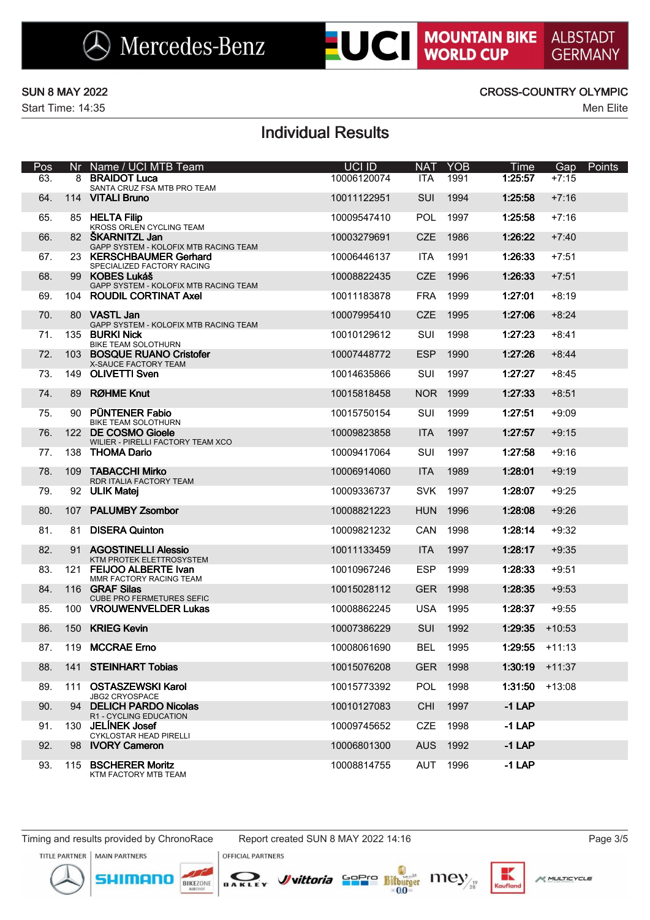Start Time: 14:35 Men Elite

### SUN 8 MAY 2022 CROSS-COUNTRY OLYMPIC

## Individual Results

| Pos |     | Nr Name / UCI MTB Team                                    | UCI ID      | <b>NAT</b> | <b>YOB</b> | Time     | Gap      | <b>Points</b> |
|-----|-----|-----------------------------------------------------------|-------------|------------|------------|----------|----------|---------------|
| 63. |     | 8 BRAIDOT Luca<br>SANTA CRUZ FSA MTB PRO TEAM             | 10006120074 | <b>ITA</b> | 1991       | 1:25:57  | $+7:15$  |               |
| 64. |     | 114 VITALI Bruno                                          | 10011122951 | <b>SUI</b> | 1994       | 1:25:58  | $+7:16$  |               |
| 65. |     | 85 HELTA Filip<br>KROSS ORLEN CYCLING TEAM                | 10009547410 | <b>POL</b> | 1997       | 1:25:58  | $+7:16$  |               |
| 66. |     | 82 SKARNITZL Jan<br>GAPP SYSTEM - KOLOFIX MTB RACING TEAM | 10003279691 | <b>CZE</b> | 1986       | 1:26:22  | $+7:40$  |               |
| 67. |     | 23 KERSCHBAUMER Gerhard<br>SPECIALIZED FACTORY RACING     | 10006446137 | <b>ITA</b> | 1991       | 1:26:33  | $+7:51$  |               |
| 68. |     | 99 KOBES Lukáš<br>GAPP SYSTEM - KOLOFIX MTB RACING TEAM   | 10008822435 | <b>CZE</b> | 1996       | 1:26:33  | $+7:51$  |               |
| 69. |     | 104 ROUDIL CORTINAT Axel                                  | 10011183878 | <b>FRA</b> | 1999       | 1:27:01  | $+8:19$  |               |
| 70. |     | 80 VASTL Jan<br>GAPP SYSTEM - KOLOFIX MTB RACING TEAM     | 10007995410 | <b>CZE</b> | 1995       | 1:27:06  | $+8:24$  |               |
| 71. |     | 135 BURKI Nick<br>BIKE TEAM SOLOTHURN                     | 10010129612 | SUI        | 1998       | 1:27:23  | $+8:41$  |               |
| 72. |     | 103 BOSQUE RUANO Cristofer<br>X-SAUCE FACTORY TEAM        | 10007448772 | <b>ESP</b> | 1990       | 1:27:26  | $+8:44$  |               |
| 73. |     | 149 OLIVETTI Sven                                         | 10014635866 | SUI        | 1997       | 1:27:27  | $+8:45$  |               |
| 74. |     | 89 RØHME Knut                                             | 10015818458 |            | NOR 1999   | 1:27:33  | $+8:51$  |               |
| 75. | 90  | <b>PÜNTENER Fabio</b><br>BIKE TEAM SOLOTHURN              | 10015750154 | SUI        | 1999       | 1:27:51  | $+9:09$  |               |
| 76. |     | 122 DE COSMO Gioele<br>WILIER - PIRELLI FACTORY TEAM XCO  | 10009823858 | <b>ITA</b> | 1997       | 1:27:57  | $+9:15$  |               |
| 77. | 138 | <b>THOMA Dario</b>                                        | 10009417064 | SUI        | 1997       | 1:27:58  | $+9:16$  |               |
| 78. | 109 | <b>TABACCHI Mirko</b><br>RDR ITALIA FACTORY TEAM          | 10006914060 | <b>ITA</b> | 1989       | 1:28:01  | $+9:19$  |               |
| 79. |     | 92 ULIK Matej                                             | 10009336737 | <b>SVK</b> | 1997       | 1:28:07  | $+9:25$  |               |
| 80. |     | 107 PALUMBY Zsombor                                       | 10008821223 | <b>HUN</b> | 1996       | 1:28:08  | $+9:26$  |               |
| 81. | 81  | <b>DISERA Quinton</b>                                     | 10009821232 | CAN        | 1998       | 1:28:14  | $+9:32$  |               |
| 82. | 91  | <b>AGOSTINELLI Alessio</b><br>KTM PROTEK ELETTROSYSTEM    | 10011133459 | <b>ITA</b> | 1997       | 1:28:17  | $+9:35$  |               |
| 83. | 121 | <b>FEIJOO ALBERTE Ivan</b><br>MMR FACTORY RACING TEAM     | 10010967246 | <b>ESP</b> | 1999       | 1:28:33  | $+9:51$  |               |
| 84. |     | 116 GRAF Silas<br><b>CUBE PRO FERMETURES SEFIC</b>        | 10015028112 | <b>GER</b> | 1998       | 1:28:35  | $+9:53$  |               |
| 85. |     | 100 VROUWENVELDER Lukas                                   | 10008862245 | <b>USA</b> | 1995       | 1:28:37  | $+9:55$  |               |
| 86. |     | 150 KRIEG Kevin                                           | 10007386229 | <b>SUI</b> | 1992       | 1:29:35  | $+10:53$ |               |
| 87. |     | 119 MCCRAE Erno                                           | 10008061690 | <b>BEL</b> | 1995       | 1:29:55  | $+11:13$ |               |
| 88. |     | 141 STEINHART Tobias                                      | 10015076208 |            | GER 1998   | 1:30:19  | $+11:37$ |               |
| 89. | 111 | <b>OSTASZEWSKI Karol</b><br><b>JBG2 CRYOSPACE</b>         | 10015773392 | POL        | 1998       | 1:31:50  | $+13:08$ |               |
| 90. |     | 94 DELICH PARDO Nicolas<br>R1 - CYCLING EDUCATION         | 10010127083 | <b>CHI</b> | 1997       | $-1$ LAP |          |               |
| 91. | 130 | <b>JELINEK Josef</b><br>CYKLOSTAR HEAD PIRELLI            | 10009745652 | <b>CZE</b> | 1998       | $-1$ LAP |          |               |
| 92. | 98  | <b>IVORY Cameron</b>                                      | 10006801300 | <b>AUS</b> | 1992       | $-1$ LAP |          |               |
| 93. | 115 | <b>BSCHERER Moritz</b><br>KTM FACTORY MTB TEAM            | 10008814755 | AUT        | 1996       | $-1$ LAP |          |               |

monn

BIKEZONE

TITLE PARTNER | MAIN PARTNERS



DAKLEY



Kaufla

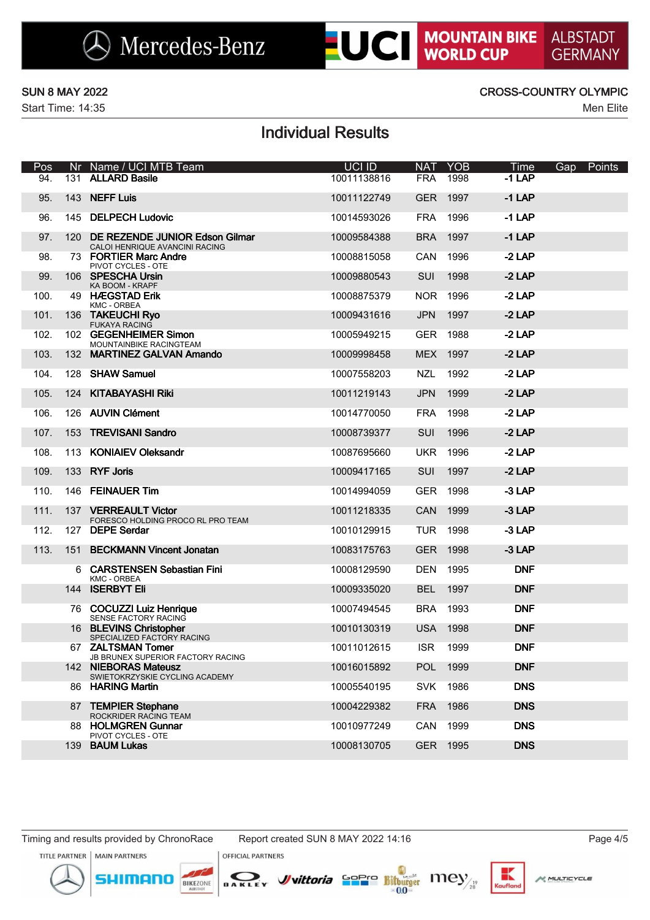Start Time: 14:35 Men Elite

### SUN 8 MAY 2022 CROSS-COUNTRY OLYMPIC

# Individual Results

| Pos  |     | Nr Name / UCI MTB Team                                               | UCI ID      | <b>NAT</b> | <b>YOB</b> | Time       | Gap | Points |
|------|-----|----------------------------------------------------------------------|-------------|------------|------------|------------|-----|--------|
| 94.  | 131 | <b>ALLARD Basile</b>                                                 | 10011138816 | <b>FRA</b> | 1998       | $-1$ LAP   |     |        |
| 95.  | 143 | <b>NEFF Luis</b>                                                     | 10011122749 | <b>GER</b> | 1997       | $-1$ LAP   |     |        |
| 96.  |     | 145 DELPECH Ludovic                                                  | 10014593026 | <b>FRA</b> | 1996       | $-1$ LAP   |     |        |
| 97.  |     | 120 DE REZENDE JUNIOR Edson Gilmar<br>CALOI HENRIQUE AVANCINI RACING | 10009584388 | <b>BRA</b> | 1997       | $-1$ LAP   |     |        |
| 98.  |     | 73 FORTIER Marc Andre<br>PIVOT CYCLES - OTE                          | 10008815058 | CAN        | 1996       | $-2$ LAP   |     |        |
| 99.  |     | 106 SPESCHA Ursin<br>KA BOOM - KRAPF                                 | 10009880543 | <b>SUI</b> | 1998       | $-2$ LAP   |     |        |
| 100. |     | 49 HÆGSTAD Erik<br>KMC - ORBEA                                       | 10008875379 | NOR 1996   |            | $-2$ LAP   |     |        |
| 101. | 136 | <b>TAKEUCHI Ryo</b><br><b>FUKAYA RACING</b>                          | 10009431616 | <b>JPN</b> | 1997       | $-2$ LAP   |     |        |
| 102. |     | 102 GEGENHEIMER Simon<br>MOUNTAINBIKE RACINGTEAM                     | 10005949215 | <b>GER</b> | 1988       | $-2$ LAP   |     |        |
| 103. |     | 132 MARTINEZ GALVAN Amando                                           | 10009998458 |            | MEX 1997   | $-2$ LAP   |     |        |
| 104. |     | 128 SHAW Samuel                                                      | 10007558203 | <b>NZL</b> | 1992       | $-2$ LAP   |     |        |
| 105. |     | 124 KITABAYASHI Riki                                                 | 10011219143 | <b>JPN</b> | 1999       | $-2$ LAP   |     |        |
| 106. |     | 126 AUVIN Clément                                                    | 10014770050 | <b>FRA</b> | 1998       | $-2$ LAP   |     |        |
| 107. | 153 | <b>TREVISANI Sandro</b>                                              | 10008739377 | <b>SUI</b> | 1996       | $-2$ LAP   |     |        |
| 108. |     | 113 KONIAIEV Oleksandr                                               | 10087695660 | <b>UKR</b> | 1996       | $-2$ LAP   |     |        |
| 109. |     | 133 RYF Joris                                                        | 10009417165 | <b>SUI</b> | 1997       | $-2$ LAP   |     |        |
| 110. |     | 146 FEINAUER Tim                                                     | 10014994059 | <b>GER</b> | 1998       | $-3$ LAP   |     |        |
| 111. |     | 137 VERREAULT Victor<br>FORESCO HOLDING PROCO RL PRO TEAM            | 10011218335 | CAN        | 1999       | $-3$ LAP   |     |        |
| 112. |     | 127 DEPE Serdar                                                      | 10010129915 | <b>TUR</b> | 1998       | -3 LAP     |     |        |
| 113. |     | 151 BECKMANN Vincent Jonatan                                         | 10083175763 | <b>GER</b> | 1998       | $-3$ LAP   |     |        |
|      | 6   | <b>CARSTENSEN Sebastian Fini</b><br><b>KMC - ORBEA</b>               | 10008129590 | <b>DEN</b> | 1995       | <b>DNF</b> |     |        |
|      |     | 144 ISERBYT Eli                                                      | 10009335020 | <b>BEL</b> | 1997       | <b>DNF</b> |     |        |
|      |     | 76 COCUZZI Luiz Henrique<br>SENSE FACTORY RACING                     | 10007494545 | <b>BRA</b> | 1993       | <b>DNF</b> |     |        |
|      |     | 16 BLEVINS Christopher<br>SPECIALIZED FACTORY RACING                 | 10010130319 | <b>USA</b> | 1998       | <b>DNF</b> |     |        |
|      |     | 67 ZALTSMAN Tomer<br>JB BRUNEX SUPERIOR FACTORY RACING               | 10011012615 | <b>ISR</b> | 1999       | <b>DNF</b> |     |        |
|      |     | 142 NIEBORAS Mateusz<br>SWIETOKRZYSKIE CYCLING ACADEMY               | 10016015892 |            | POL 1999   | <b>DNF</b> |     |        |
|      |     | 86 HARING Martin                                                     | 10005540195 |            | SVK 1986   | <b>DNS</b> |     |        |
|      |     | 87 TEMPIER Stephane<br>ROCKRIDER RACING TEAM                         | 10004229382 | <b>FRA</b> | 1986       | <b>DNS</b> |     |        |
|      |     | 88 HOLMGREN Gunnar<br>PIVOT CYCLES - OTE                             | 10010977249 |            | CAN 1999   | <b>DNS</b> |     |        |
|      |     | 139 BAUM Lukas                                                       | 10008130705 |            | GER 1995   | <b>DNS</b> |     |        |

Timing and results provided by ChronoRace Report created SUN 8 MAY 2022 14:16 Page 4/5

monn

BIKEZONE

TITLE PARTNER | MAIN PARTNERS



DAKLEY



к